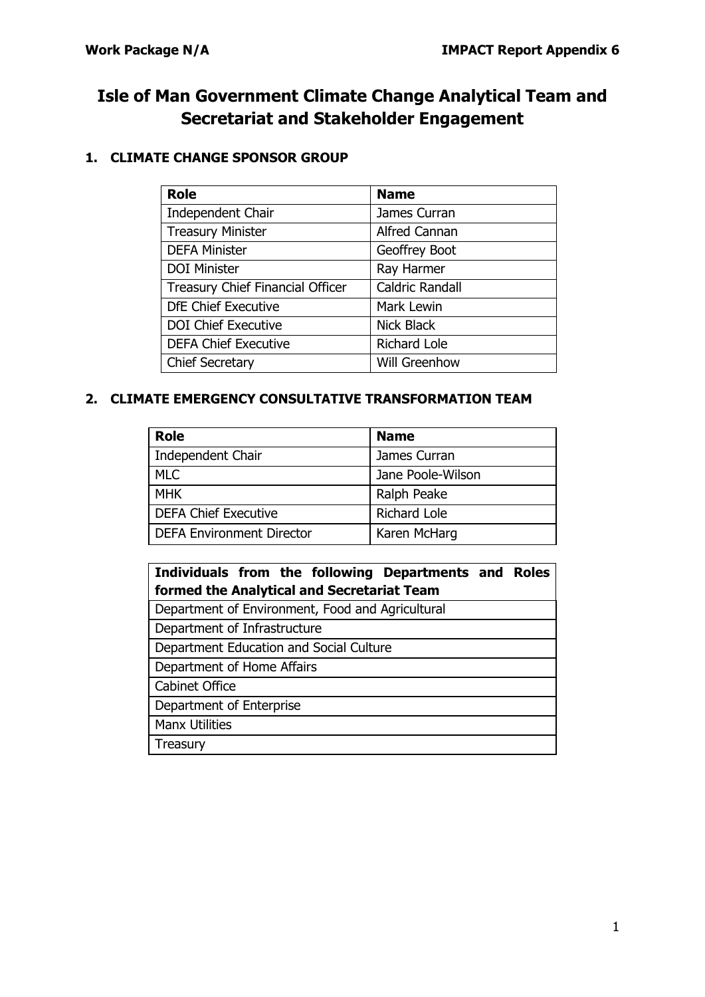# **Isle of Man Government Climate Change Analytical Team and Secretariat and Stakeholder Engagement**

# **1. CLIMATE CHANGE SPONSOR GROUP**

| <b>Role</b>                             | <b>Name</b>            |
|-----------------------------------------|------------------------|
| <b>Independent Chair</b>                | James Curran           |
| <b>Treasury Minister</b>                | <b>Alfred Cannan</b>   |
| <b>DEFA Minister</b>                    | Geoffrey Boot          |
| <b>DOI Minister</b>                     | Ray Harmer             |
| <b>Treasury Chief Financial Officer</b> | <b>Caldric Randall</b> |
| <b>DfE Chief Executive</b>              | Mark Lewin             |
| <b>DOI Chief Executive</b>              | <b>Nick Black</b>      |
| <b>DEFA Chief Executive</b>             | <b>Richard Lole</b>    |
| <b>Chief Secretary</b>                  | Will Greenhow          |

### **2. CLIMATE EMERGENCY CONSULTATIVE TRANSFORMATION TEAM**

| <b>Role</b>                      | <b>Name</b>         |
|----------------------------------|---------------------|
| Independent Chair                | James Curran        |
| <b>MLC</b>                       | Jane Poole-Wilson   |
| <b>MHK</b>                       | Ralph Peake         |
| <b>DEFA Chief Executive</b>      | <b>Richard Lole</b> |
| <b>DEFA Environment Director</b> | Karen McHarg        |

| Individuals from the following Departments and Roles |
|------------------------------------------------------|
| formed the Analytical and Secretariat Team           |
| Department of Environment, Food and Agricultural     |
| Department of Infrastructure                         |
| Department Education and Social Culture              |
| Department of Home Affairs                           |
| <b>Cabinet Office</b>                                |
| Department of Enterprise                             |
| <b>Manx Utilities</b>                                |
| Treasury                                             |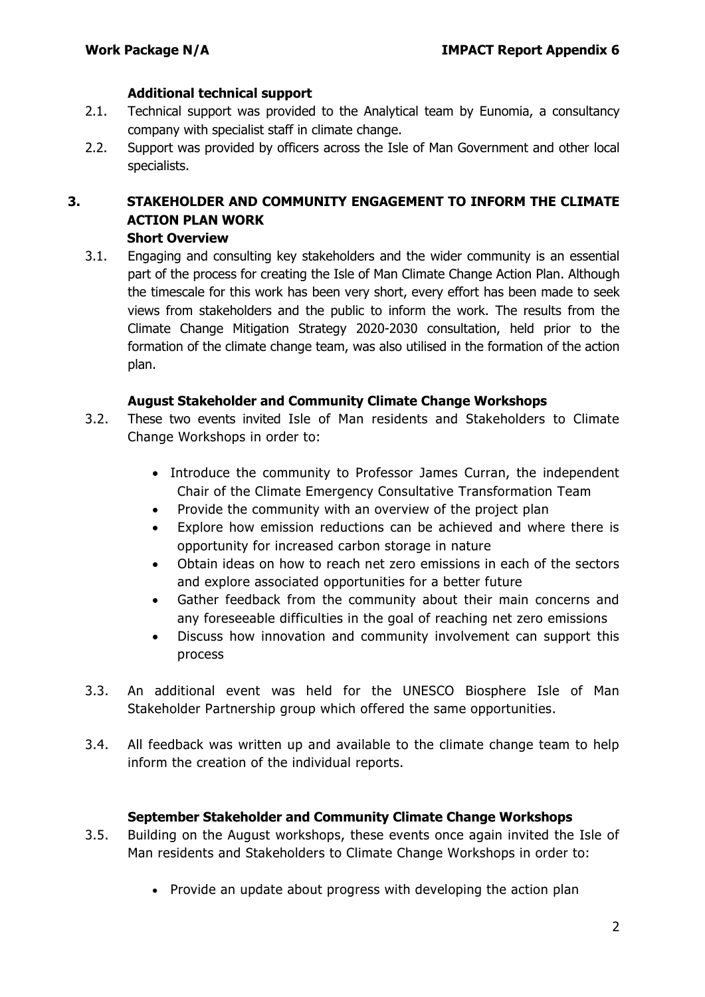#### **Additional technical support**

- 2.1. Technical support was provided to the Analytical team by Eunomia, a consultancy company with specialist staff in climate change.
- 2.2. Support was provided by officers across the Isle of Man Government and other local specialists.

#### **3. STAKEHOLDER AND COMMUNITY ENGAGEMENT TO INFORM THE CLIMATE ACTION PLAN WORK Short Overview**

3.1. Engaging and consulting key stakeholders and the wider community is an essential part of the process for creating the Isle of Man Climate Change Action Plan. Although the timescale for this work has been very short, every effort has been made to seek views from stakeholders and the public to inform the work. The results from the Climate Change Mitigation Strategy 2020-2030 consultation, held prior to the formation of the climate change team, was also utilised in the formation of the action plan.

#### **August Stakeholder and Community Climate Change Workshops**

- 3.2. These two events invited Isle of Man residents and Stakeholders to Climate Change Workshops in order to:
	- Introduce the community to Professor James Curran, the independent Chair of the Climate Emergency Consultative Transformation Team
	- Provide the community with an overview of the project plan
	- Explore how emission reductions can be achieved and where there is opportunity for increased carbon storage in nature
	- Obtain ideas on how to reach net zero emissions in each of the sectors and explore associated opportunities for a better future
	- Gather feedback from the community about their main concerns and any foreseeable difficulties in the goal of reaching net zero emissions
	- Discuss how innovation and community involvement can support this process
- 3.3. An additional event was held for the UNESCO Biosphere Isle of Man Stakeholder Partnership group which offered the same opportunities.
- 3.4. All feedback was written up and available to the climate change team to help inform the creation of the individual reports.

#### **September Stakeholder and Community Climate Change Workshops**

- 3.5. Building on the August workshops, these events once again invited the Isle of Man residents and Stakeholders to Climate Change Workshops in order to:
	- Provide an update about progress with developing the action plan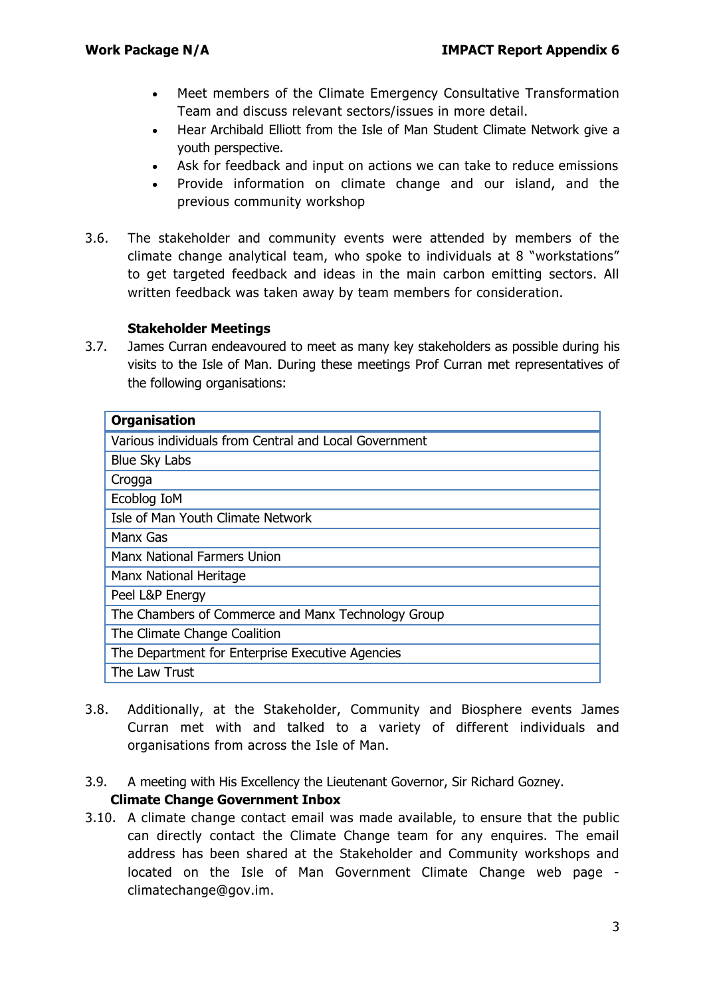- Meet members of the Climate Emergency Consultative Transformation Team and discuss relevant sectors/issues in more detail.
- Hear Archibald Elliott from the Isle of Man Student Climate Network give a youth perspective.
- Ask for feedback and input on actions we can take to reduce emissions
- Provide information on climate change and our island, and the previous community workshop
- 3.6. The stakeholder and community events were attended by members of the climate change analytical team, who spoke to individuals at 8 "workstations" to get targeted feedback and ideas in the main carbon emitting sectors. All written feedback was taken away by team members for consideration.

#### **Stakeholder Meetings**

3.7. James Curran endeavoured to meet as many key stakeholders as possible during his visits to the Isle of Man. During these meetings Prof Curran met representatives of the following organisations:

| <b>Organisation</b>                                   |
|-------------------------------------------------------|
| Various individuals from Central and Local Government |
| <b>Blue Sky Labs</b>                                  |
| Crogga                                                |
| Ecoblog IoM                                           |
| Isle of Man Youth Climate Network                     |
| Manx Gas                                              |
| <b>Manx National Farmers Union</b>                    |
| Manx National Heritage                                |
| Peel L&P Energy                                       |
| The Chambers of Commerce and Manx Technology Group    |
| The Climate Change Coalition                          |
| The Department for Enterprise Executive Agencies      |
| The Law Trust                                         |

- 3.8. Additionally, at the Stakeholder, Community and Biosphere events James Curran met with and talked to a variety of different individuals and organisations from across the Isle of Man.
- 3.9. A meeting with His Excellency the Lieutenant Governor, Sir Richard Gozney. **Climate Change Government Inbox**
- 3.10. A climate change contact email was made available, to ensure that the public can directly contact the Climate Change team for any enquires. The email address has been shared at the Stakeholder and Community workshops and located on the Isle of Man Government Climate Change web page [climatechange@gov.im.](mailto:climatechange@gov.im)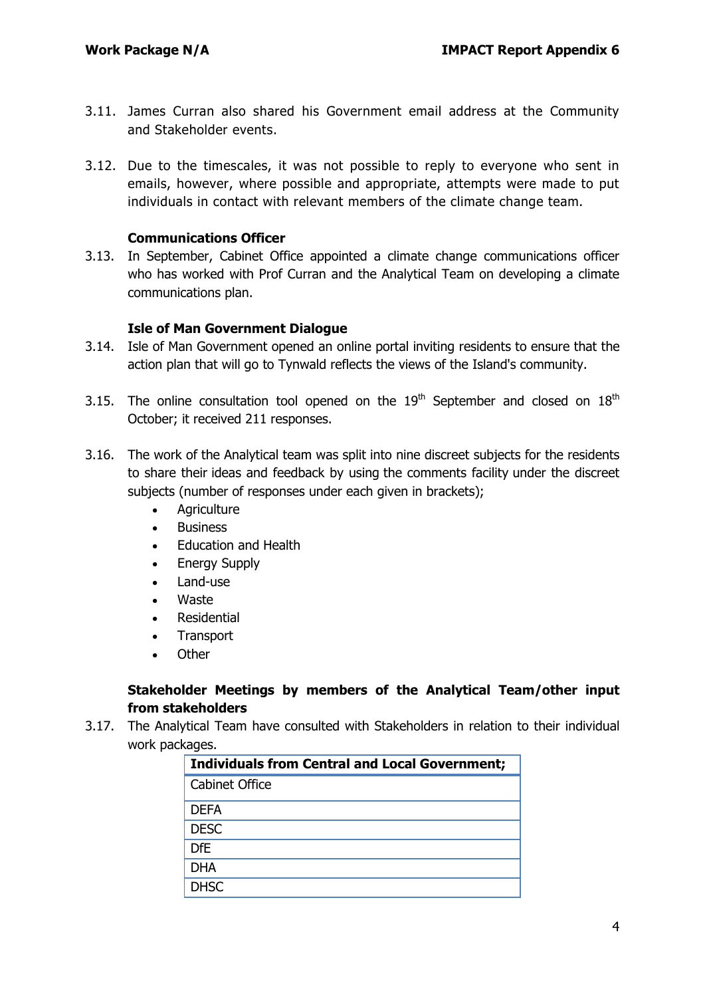- 3.11. James Curran also shared his Government email address at the Community and Stakeholder events.
- 3.12. Due to the timescales, it was not possible to reply to everyone who sent in emails, however, where possible and appropriate, attempts were made to put individuals in contact with relevant members of the climate change team.

#### **Communications Officer**

3.13. In September, Cabinet Office appointed a climate change communications officer who has worked with Prof Curran and the Analytical Team on developing a climate communications plan.

#### **Isle of Man Government Dialogue**

- 3.14. Isle of Man Government opened an online portal inviting residents to ensure that the action plan that will go to Tynwald reflects the views of the Island's community.
- 3.15. The online consultation tool opened on the  $19<sup>th</sup>$  September and closed on  $18<sup>th</sup>$ October; it received 211 responses.
- 3.16. The work of the Analytical team was split into nine discreet subjects for the residents to share their ideas and feedback by using the comments facility under the discreet subjects (number of responses under each given in brackets);
	- Agriculture
	- Business
	- Education and Health
	- Energy Supply
	- Land-use
	- Waste
	- Residential
	- **Transport**
	- **Other**

#### **Stakeholder Meetings by members of the Analytical Team/other input from stakeholders**

3.17. The Analytical Team have consulted with Stakeholders in relation to their individual work packages.

| <b>Individuals from Central and Local Government;</b> |
|-------------------------------------------------------|
| Cabinet Office                                        |
| <b>DEFA</b>                                           |
| <b>DESC</b>                                           |
| <b>DfE</b>                                            |
| <b>DHA</b>                                            |
| <b>DHSC</b>                                           |